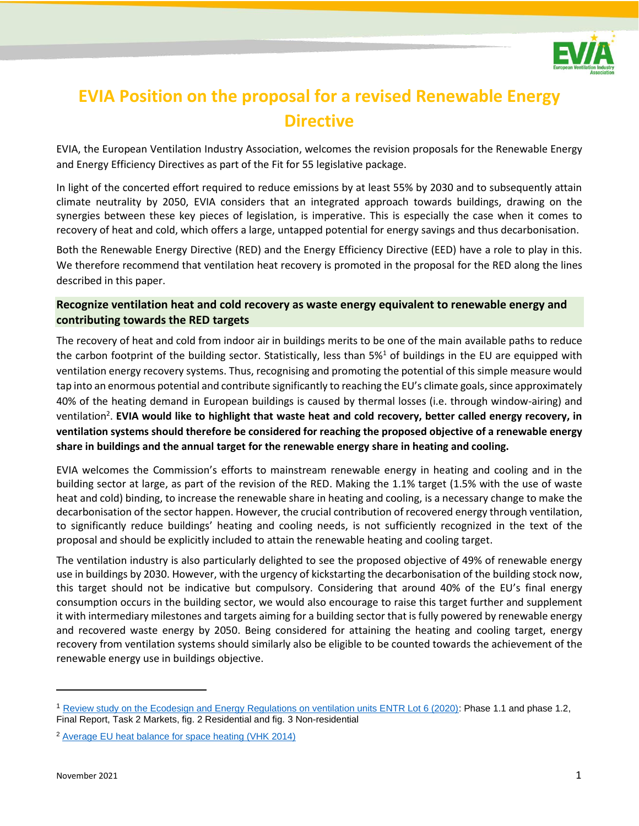

# **EVIA Position on the proposal for a revised Renewable Energy Directive**

EVIA, the European Ventilation Industry Association, welcomes the revision proposals for the Renewable Energy and Energy Efficiency Directives as part of the Fit for 55 legislative package.

In light of the concerted effort required to reduce emissions by at least 55% by 2030 and to subsequently attain climate neutrality by 2050, EVIA considers that an integrated approach towards buildings, drawing on the synergies between these key pieces of legislation, is imperative. This is especially the case when it comes to recovery of heat and cold, which offers a large, untapped potential for energy savings and thus decarbonisation.

Both the Renewable Energy Directive (RED) and the Energy Efficiency Directive (EED) have a role to play in this. We therefore recommend that ventilation heat recovery is promoted in the proposal for the RED along the lines described in this paper.

# **Recognize ventilation heat and cold recovery as waste energy equivalent to renewable energy and contributing towards the RED targets**

The recovery of heat and cold from indoor air in buildings merits to be one of the main available paths to reduce the carbon footprint of the building sector. Statistically, less than 5%<sup>1</sup> of buildings in the EU are equipped with ventilation energy recovery systems. Thus, recognising and promoting the potential of this simple measure would tap into an enormous potential and contribute significantly to reaching the EU's climate goals, since approximately 40% of the heating demand in European buildings is caused by thermal losses (i.e. through window-airing) and ventilation<sup>2</sup>. EVIA would like to highlight that waste heat and cold recovery, better called energy recovery, in **ventilation systems should therefore be considered for reaching the proposed objective of a renewable energy share in buildings and the annual target for the renewable energy share in heating and cooling.**

EVIA welcomes the Commission's efforts to mainstream renewable energy in heating and cooling and in the building sector at large, as part of the revision of the RED. Making the 1.1% target (1.5% with the use of waste heat and cold) binding, to increase the renewable share in heating and cooling, is a necessary change to make the decarbonisation of the sector happen. However, the crucial contribution of recovered energy through ventilation, to significantly reduce buildings' heating and cooling needs, is not sufficiently recognized in the text of the proposal and should be explicitly included to attain the renewable heating and cooling target.

The ventilation industry is also particularly delighted to see the proposed objective of 49% of renewable energy use in buildings by 2030. However, with the urgency of kickstarting the decarbonisation of the building stock now, this target should not be indicative but compulsory. Considering that around 40% of the EU's final energy consumption occurs in the building sector, we would also encourage to raise this target further and supplement it with intermediary milestones and targets aiming for a building sector that is fully powered by renewable energy and recovered waste energy by 2050. Being considered for attaining the heating and cooling target, energy recovery from ventilation systems should similarly also be eligible to be counted towards the achievement of the renewable energy use in buildings objective.

<sup>1</sup> [Review study on the Ecodesign and Energy Regulations on ventilation units ENTR Lot 6 \(2020\):](https://www.ecoventilation-review.eu/documents.htm#a20200925) Phase 1.1 and phase 1.2, Final Report, Task 2 Markets, fig. 2 Residential and fig. 3 Non-residential

<sup>2</sup> [Average EU heat balance for space heating \(VHK 2014\)](https://ec.europa.eu/energy/sites/ener/files/documents/2014_final_report_eu_building_heat_demand.pdf)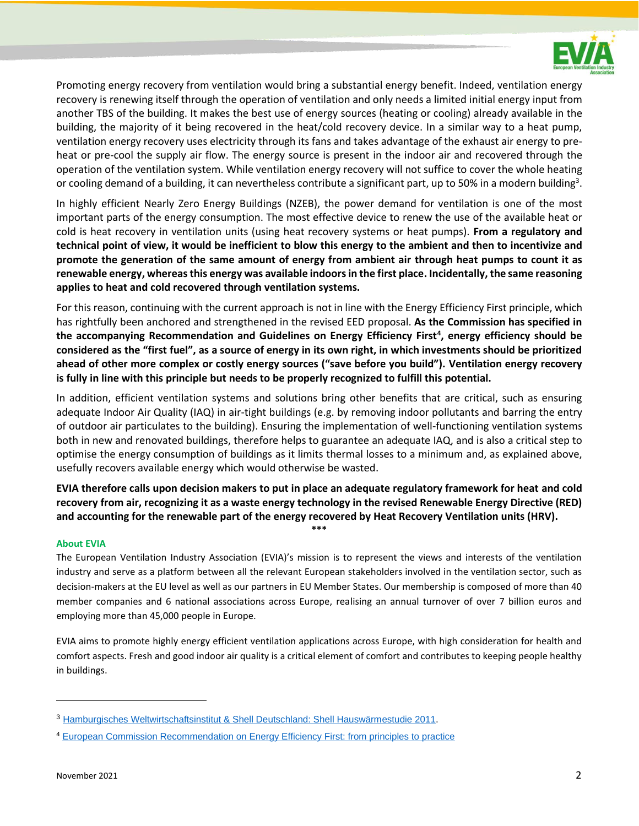

Promoting energy recovery from ventilation would bring a substantial energy benefit. Indeed, ventilation energy recovery is renewing itself through the operation of ventilation and only needs a limited initial energy input from another TBS of the building. It makes the best use of energy sources (heating or cooling) already available in the building, the majority of it being recovered in the heat/cold recovery device. In a similar way to a heat pump, ventilation energy recovery uses electricity through its fans and takes advantage of the exhaust air energy to preheat or pre-cool the supply air flow. The energy source is present in the indoor air and recovered through the operation of the ventilation system. While ventilation energy recovery will not suffice to cover the whole heating or cooling demand of a building, it can nevertheless contribute a significant part, up to 50% in a modern building<sup>3</sup>.

In highly efficient Nearly Zero Energy Buildings (NZEB), the power demand for ventilation is one of the most important parts of the energy consumption. The most effective device to renew the use of the available heat or cold is heat recovery in ventilation units (using heat recovery systems or heat pumps). **From a regulatory and technical point of view, it would be inefficient to blow this energy to the ambient and then to incentivize and promote the generation of the same amount of energy from ambient air through heat pumps to count it as renewable energy, whereas this energy was available indoors in the first place. Incidentally, the same reasoning applies to heat and cold recovered through ventilation systems.**

For this reason, continuing with the current approach is not in line with the Energy Efficiency First principle, which has rightfully been anchored and strengthened in the revised EED proposal. **As the Commission has specified in the accompanying Recommendation and Guidelines on Energy Efficiency First<sup>4</sup> , energy efficiency should be considered as the "first fuel", as a source of energy in its own right, in which investments should be prioritized ahead of other more complex or costly energy sources ("save before you build"). Ventilation energy recovery is fully in line with this principle but needs to be properly recognized to fulfill this potential.**

In addition, efficient ventilation systems and solutions bring other benefits that are critical, such as ensuring adequate Indoor Air Quality (IAQ) in air-tight buildings (e.g. by removing indoor pollutants and barring the entry of outdoor air particulates to the building). Ensuring the implementation of well-functioning ventilation systems both in new and renovated buildings, therefore helps to guarantee an adequate IAQ, and is also a critical step to optimise the energy consumption of buildings as it limits thermal losses to a minimum and, as explained above, usefully recovers available energy which would otherwise be wasted.

**EVIA therefore calls upon decision makers to put in place an adequate regulatory framework for heat and cold recovery from air, recognizing it as a waste energy technology in the revised Renewable Energy Directive (RED) and accounting for the renewable part of the energy recovered by Heat Recovery Ventilation units (HRV). \*\*\***

#### **About EVIA**

The European Ventilation Industry Association (EVIA)'s mission is to represent the views and interests of the ventilation industry and serve as a platform between all the relevant European stakeholders involved in the ventilation sector, such as decision-makers at the EU level as well as our partners in EU Member States. Our membership is composed of more than 40 member companies and 6 national associations across Europe, realising an annual turnover of over 7 billion euros and employing more than 45,000 people in Europe.

EVIA aims to promote highly energy efficient ventilation applications across Europe, with high consideration for health and comfort aspects. Fresh and good indoor air quality is a critical element of comfort and contributes to keeping people healthy in buildings.

<sup>3</sup> [Hamburgisches Weltwirtschaftsinstitut & Shell Deutschland: Shell Hauswärmestudie 2011.](https://www.shell.de/promos/media/shell-house-heat-study-2011/_jcr_content.stream/1455892952601/857e5cca7cb81a00c6d8b59ec4204576b25cfc07/shell-hauswaermestudie-2011.pdf)

<sup>4</sup> [European Commission Recommendation on Energy Efficiency First: from principles to practice](https://ec.europa.eu/energy/sites/default/files/eef_guidelines_ref_tbc.pdf)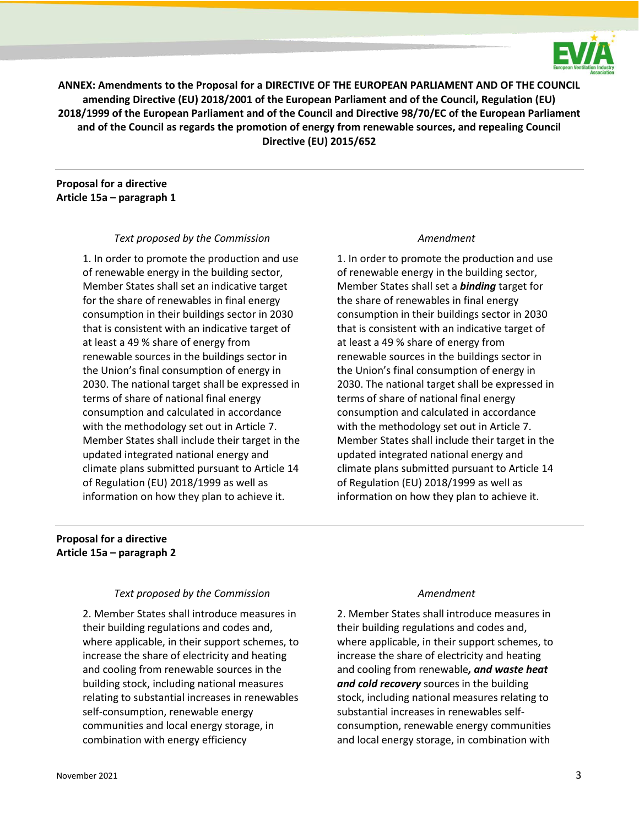

**ANNEX: Amendments to the Proposal for a DIRECTIVE OF THE EUROPEAN PARLIAMENT AND OF THE COUNCIL amending Directive (EU) 2018/2001 of the European Parliament and of the Council, Regulation (EU) 2018/1999 of the European Parliament and of the Council and Directive 98/70/EC of the European Parliament and of the Council as regards the promotion of energy from renewable sources, and repealing Council Directive (EU) 2015/652**

### **Proposal for a directive Article 15a – paragraph 1**

#### *Text proposed by the Commission Amendment*

1. In order to promote the production and use of renewable energy in the building sector, Member States shall set an indicative target for the share of renewables in final energy consumption in their buildings sector in 2030 that is consistent with an indicative target of at least a 49 % share of energy from renewable sources in the buildings sector in the Union's final consumption of energy in 2030. The national target shall be expressed in terms of share of national final energy consumption and calculated in accordance with the methodology set out in Article 7. Member States shall include their target in the updated integrated national energy and climate plans submitted pursuant to Article 14 of Regulation (EU) 2018/1999 as well as information on how they plan to achieve it.

1. In order to promote the production and use of renewable energy in the building sector, Member States shall set a *binding* target for the share of renewables in final energy consumption in their buildings sector in 2030 that is consistent with an indicative target of at least a 49 % share of energy from renewable sources in the buildings sector in the Union's final consumption of energy in 2030. The national target shall be expressed in terms of share of national final energy consumption and calculated in accordance with the methodology set out in Article 7. Member States shall include their target in the updated integrated national energy and climate plans submitted pursuant to Article 14 of Regulation (EU) 2018/1999 as well as information on how they plan to achieve it.

# **Proposal for a directive Article 15a – paragraph 2**

#### *Text proposed by the Commission Amendment*

2. Member States shall introduce measures in their building regulations and codes and, where applicable, in their support schemes, to increase the share of electricity and heating and cooling from renewable sources in the building stock, including national measures relating to substantial increases in renewables self-consumption, renewable energy communities and local energy storage, in combination with energy efficiency

2. Member States shall introduce measures in their building regulations and codes and, where applicable, in their support schemes, to increase the share of electricity and heating and cooling from renewable*, and waste heat and cold recovery* sources in the building stock, including national measures relating to substantial increases in renewables selfconsumption, renewable energy communities and local energy storage, in combination with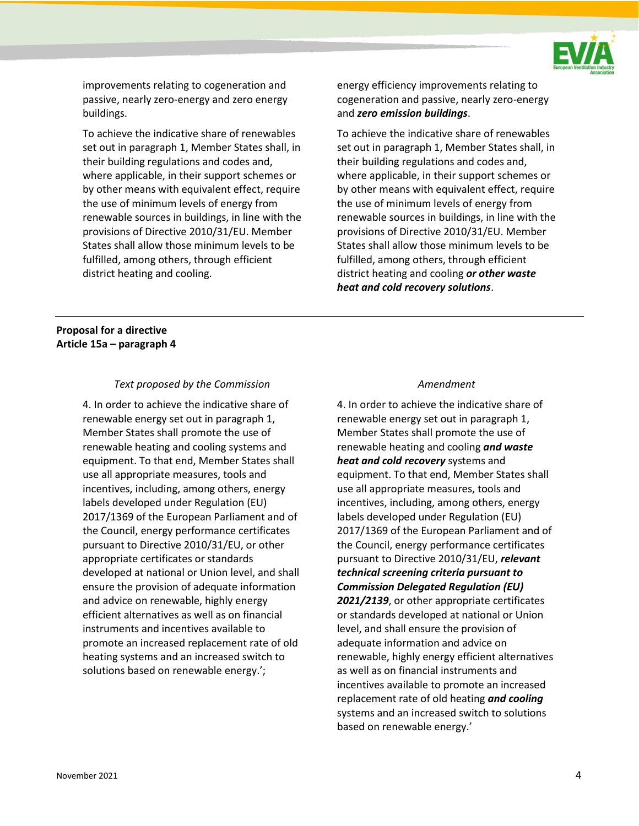

improvements relating to cogeneration and passive, nearly zero-energy and zero energy buildings.

To achieve the indicative share of renewables set out in paragraph 1, Member States shall, in their building regulations and codes and, where applicable, in their support schemes or by other means with equivalent effect, require the use of minimum levels of energy from renewable sources in buildings, in line with the provisions of Directive 2010/31/EU. Member States shall allow those minimum levels to be fulfilled, among others, through efficient district heating and cooling.

energy efficiency improvements relating to cogeneration and passive, nearly zero-energy and *zero emission buildings*.

To achieve the indicative share of renewables set out in paragraph 1, Member States shall, in their building regulations and codes and, where applicable, in their support schemes or by other means with equivalent effect, require the use of minimum levels of energy from renewable sources in buildings, in line with the provisions of Directive 2010/31/EU. Member States shall allow those minimum levels to be fulfilled, among others, through efficient district heating and cooling *or other waste heat and cold recovery solutions*.

# **Proposal for a directive Article 15a – paragraph 4**

### *Text proposed by the Commission Amendment*

4. In order to achieve the indicative share of renewable energy set out in paragraph 1, Member States shall promote the use of renewable heating and cooling systems and equipment. To that end, Member States shall use all appropriate measures, tools and incentives, including, among others, energy labels developed under Regulation (EU) 2017/1369 of the European Parliament and of the Council, energy performance certificates pursuant to Directive 2010/31/EU, or other appropriate certificates or standards developed at national or Union level, and shall ensure the provision of adequate information and advice on renewable, highly energy efficient alternatives as well as on financial instruments and incentives available to promote an increased replacement rate of old heating systems and an increased switch to solutions based on renewable energy.';

4. In order to achieve the indicative share of renewable energy set out in paragraph 1, Member States shall promote the use of renewable heating and cooling *and waste heat and cold recovery* systems and equipment. To that end, Member States shall use all appropriate measures, tools and incentives, including, among others, energy labels developed under Regulation (EU) 2017/1369 of the European Parliament and of the Council, energy performance certificates pursuant to Directive 2010/31/EU, *relevant technical screening criteria pursuant to Commission Delegated Regulation (EU) 2021/2139*, or other appropriate certificates or standards developed at national or Union level, and shall ensure the provision of adequate information and advice on renewable, highly energy efficient alternatives as well as on financial instruments and incentives available to promote an increased replacement rate of old heating *and cooling*  systems and an increased switch to solutions based on renewable energy.'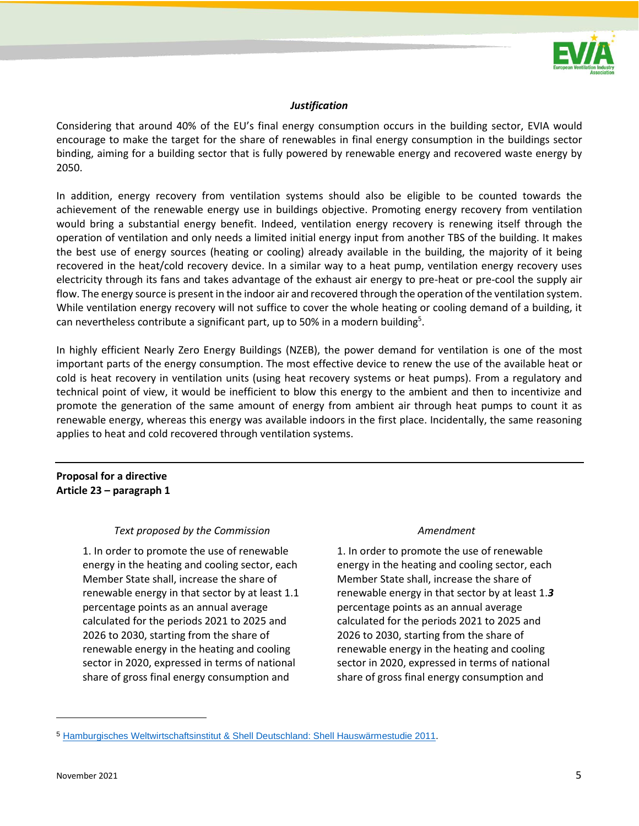

### *Justification*

Considering that around 40% of the EU's final energy consumption occurs in the building sector, EVIA would encourage to make the target for the share of renewables in final energy consumption in the buildings sector binding, aiming for a building sector that is fully powered by renewable energy and recovered waste energy by 2050.

In addition, energy recovery from ventilation systems should also be eligible to be counted towards the achievement of the renewable energy use in buildings objective. Promoting energy recovery from ventilation would bring a substantial energy benefit. Indeed, ventilation energy recovery is renewing itself through the operation of ventilation and only needs a limited initial energy input from another TBS of the building. It makes the best use of energy sources (heating or cooling) already available in the building, the majority of it being recovered in the heat/cold recovery device. In a similar way to a heat pump, ventilation energy recovery uses electricity through its fans and takes advantage of the exhaust air energy to pre-heat or pre-cool the supply air flow. The energy source is present in the indoor air and recovered through the operation of the ventilation system. While ventilation energy recovery will not suffice to cover the whole heating or cooling demand of a building, it can nevertheless contribute a significant part, up to 50% in a modern building<sup>5</sup>.

In highly efficient Nearly Zero Energy Buildings (NZEB), the power demand for ventilation is one of the most important parts of the energy consumption. The most effective device to renew the use of the available heat or cold is heat recovery in ventilation units (using heat recovery systems or heat pumps). From a regulatory and technical point of view, it would be inefficient to blow this energy to the ambient and then to incentivize and promote the generation of the same amount of energy from ambient air through heat pumps to count it as renewable energy, whereas this energy was available indoors in the first place. Incidentally, the same reasoning applies to heat and cold recovered through ventilation systems.

## **Proposal for a directive Article 23 – paragraph 1**

### *Text proposed by the Commission Amendment*

1. In order to promote the use of renewable energy in the heating and cooling sector, each Member State shall, increase the share of renewable energy in that sector by at least 1.1 percentage points as an annual average calculated for the periods 2021 to 2025 and 2026 to 2030, starting from the share of renewable energy in the heating and cooling sector in 2020, expressed in terms of national share of gross final energy consumption and

1. In order to promote the use of renewable energy in the heating and cooling sector, each Member State shall, increase the share of renewable energy in that sector by at least 1.*3* percentage points as an annual average calculated for the periods 2021 to 2025 and 2026 to 2030, starting from the share of renewable energy in the heating and cooling sector in 2020, expressed in terms of national share of gross final energy consumption and

<sup>5</sup> [Hamburgisches Weltwirtschaftsinstitut & Shell Deutschland: Shell Hauswärmestudie 2011.](https://www.shell.de/promos/media/shell-house-heat-study-2011/_jcr_content.stream/1455892952601/857e5cca7cb81a00c6d8b59ec4204576b25cfc07/shell-hauswaermestudie-2011.pdf)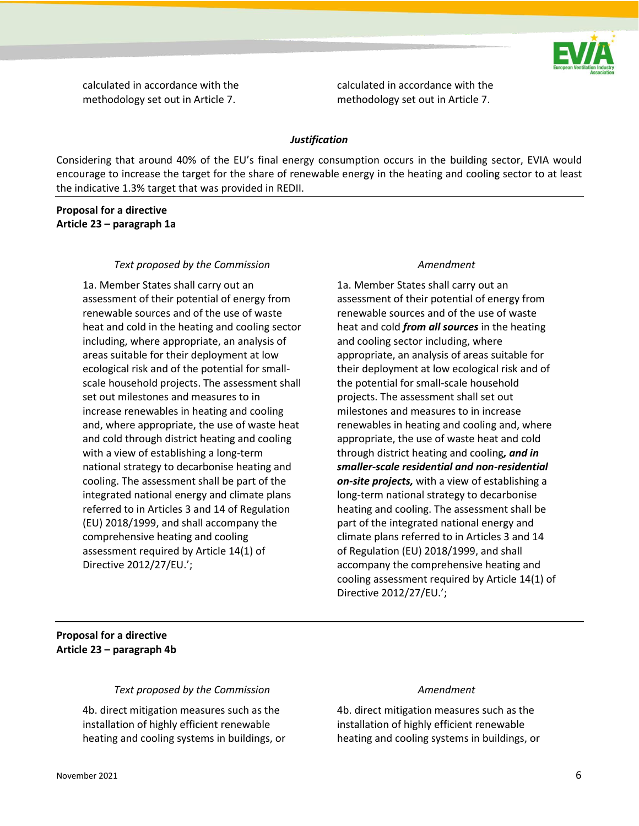

calculated in accordance with the methodology set out in Article 7.

calculated in accordance with the methodology set out in Article 7.

#### *Justification*

Considering that around 40% of the EU's final energy consumption occurs in the building sector, EVIA would encourage to increase the target for the share of renewable energy in the heating and cooling sector to at least the indicative 1.3% target that was provided in REDII.

### **Proposal for a directive Article 23 – paragraph 1a**

#### *Text proposed by the Commission Amendment*

1a. Member States shall carry out an assessment of their potential of energy from renewable sources and of the use of waste heat and cold in the heating and cooling sector including, where appropriate, an analysis of areas suitable for their deployment at low ecological risk and of the potential for smallscale household projects. The assessment shall set out milestones and measures to in increase renewables in heating and cooling and, where appropriate, the use of waste heat and cold through district heating and cooling with a view of establishing a long-term national strategy to decarbonise heating and cooling. The assessment shall be part of the integrated national energy and climate plans referred to in Articles 3 and 14 of Regulation (EU) 2018/1999, and shall accompany the comprehensive heating and cooling assessment required by Article 14(1) of Directive 2012/27/EU.';

1a. Member States shall carry out an assessment of their potential of energy from renewable sources and of the use of waste heat and cold *from all sources* in the heating and cooling sector including, where appropriate, an analysis of areas suitable for their deployment at low ecological risk and of the potential for small-scale household projects. The assessment shall set out milestones and measures to in increase renewables in heating and cooling and, where appropriate, the use of waste heat and cold through district heating and cooling*, and in smaller-scale residential and non-residential on-site projects,* with a view of establishing a long-term national strategy to decarbonise heating and cooling. The assessment shall be part of the integrated national energy and climate plans referred to in Articles 3 and 14 of Regulation (EU) 2018/1999, and shall accompany the comprehensive heating and cooling assessment required by Article 14(1) of Directive 2012/27/EU.';

### **Proposal for a directive Article 23 – paragraph 4b**

### *Text proposed by the Commission Amendment*

4b. direct mitigation measures such as the installation of highly efficient renewable heating and cooling systems in buildings, or

4b. direct mitigation measures such as the installation of highly efficient renewable heating and cooling systems in buildings, or